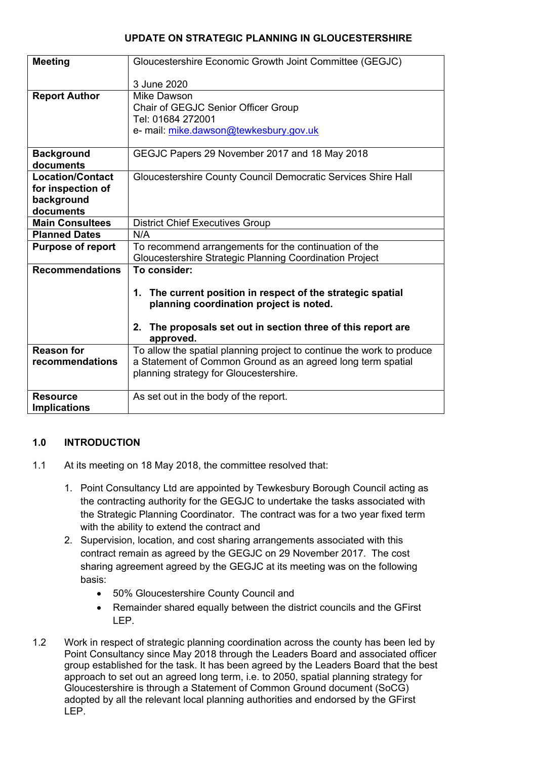## **UPDATE ON STRATEGIC PLANNING IN GLOUCESTERSHIRE**

| <b>Meeting</b>           | Gloucestershire Economic Growth Joint Committee (GEGJC)               |
|--------------------------|-----------------------------------------------------------------------|
|                          | 3 June 2020                                                           |
| <b>Report Author</b>     | Mike Dawson                                                           |
|                          | Chair of GEGJC Senior Officer Group                                   |
|                          | Tel: 01684 272001                                                     |
|                          | e- mail: mike.dawson@tewkesbury.gov.uk                                |
|                          |                                                                       |
| <b>Background</b>        | GEGJC Papers 29 November 2017 and 18 May 2018                         |
| documents                |                                                                       |
| <b>Location/Contact</b>  | Gloucestershire County Council Democratic Services Shire Hall         |
| for inspection of        |                                                                       |
| background               |                                                                       |
| documents                |                                                                       |
| <b>Main Consultees</b>   | <b>District Chief Executives Group</b>                                |
| <b>Planned Dates</b>     | N/A                                                                   |
| <b>Purpose of report</b> | To recommend arrangements for the continuation of the                 |
|                          | Gloucestershire Strategic Planning Coordination Project               |
| <b>Recommendations</b>   | To consider:                                                          |
|                          |                                                                       |
|                          | 1. The current position in respect of the strategic spatial           |
|                          | planning coordination project is noted.                               |
|                          | 2. The proposals set out in section three of this report are          |
|                          | approved.                                                             |
| <b>Reason for</b>        | To allow the spatial planning project to continue the work to produce |
| recommendations          | a Statement of Common Ground as an agreed long term spatial           |
|                          | planning strategy for Gloucestershire.                                |
|                          |                                                                       |
| <b>Resource</b>          | As set out in the body of the report.                                 |
| <b>Implications</b>      |                                                                       |

## **1.0 INTRODUCTION**

- 1.1 At its meeting on 18 May 2018, the committee resolved that:
	- 1. Point Consultancy Ltd are appointed by Tewkesbury Borough Council acting as the contracting authority for the GEGJC to undertake the tasks associated with the Strategic Planning Coordinator. The contract was for a two year fixed term with the ability to extend the contract and
	- 2. Supervision, location, and cost sharing arrangements associated with this contract remain as agreed by the GEGJC on 29 November 2017. The cost sharing agreement agreed by the GEGJC at its meeting was on the following basis:
		- 50% Gloucestershire County Council and
		- Remainder shared equally between the district councils and the GFirst LEP.
- 1.2 Work in respect of strategic planning coordination across the county has been led by Point Consultancy since May 2018 through the Leaders Board and associated officer group established for the task. It has been agreed by the Leaders Board that the best approach to set out an agreed long term, i.e. to 2050, spatial planning strategy for Gloucestershire is through a Statement of Common Ground document (SoCG) adopted by all the relevant local planning authorities and endorsed by the GFirst LEP.